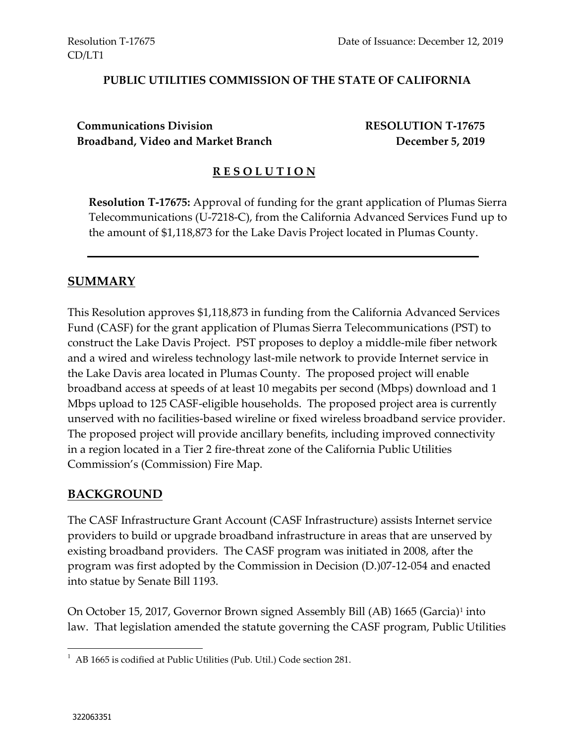#### **PUBLIC UTILITIES COMMISSION OF THE STATE OF CALIFORNIA**

**Communications Division RESOLUTION T-17675 Broadband, Video and Market Branch December 5, 2019**

#### **R E S O L U T I O N**

**Resolution T-17675:** Approval of funding for the grant application of Plumas Sierra Telecommunications (U-7218-C), from the California Advanced Services Fund up to the amount of \$1,118,873 for the Lake Davis Project located in Plumas County.

#### **SUMMARY**

This Resolution approves \$1,118,873 in funding from the California Advanced Services Fund (CASF) for the grant application of Plumas Sierra Telecommunications (PST) to construct the Lake Davis Project. PST proposes to deploy a middle-mile fiber network and a wired and wireless technology last-mile network to provide Internet service in the Lake Davis area located in Plumas County. The proposed project will enable broadband access at speeds of at least 10 megabits per second (Mbps) download and 1 Mbps upload to 125 CASF-eligible households. The proposed project area is currently unserved with no facilities-based wireline or fixed wireless broadband service provider. The proposed project will provide ancillary benefits, including improved connectivity in a region located in a Tier 2 fire-threat zone of the California Public Utilities Commission's (Commission) Fire Map.

#### **BACKGROUND**

The CASF Infrastructure Grant Account (CASF Infrastructure) assists Internet service providers to build or upgrade broadband infrastructure in areas that are unserved by existing broadband providers. The CASF program was initiated in 2008, after the program was first adopted by the Commission in Decision (D.)07-12-054 and enacted into statue by Senate Bill 1193.

On October 15, 2017, Governor Brown signed Assembly Bill (AB) 1665 (Garcia)<sup>1</sup> into law. That legislation amended the statute governing the CASF program, Public Utilities

 1 AB 1665 is codified at Public Utilities (Pub. Util.) Code section 281.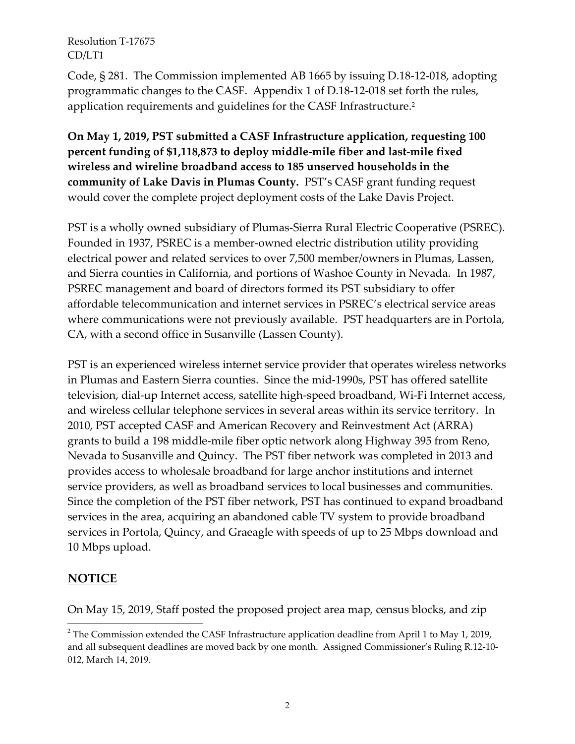Code, § 281. The Commission implemented AB 1665 by issuing D.18-12-018, adopting programmatic changes to the CASF. Appendix 1 of D.18-12-018 set forth the rules, application requirements and guidelines for the CASF Infrastructure.<sup>2</sup>

**On May 1, 2019, PST submitted a CASF Infrastructure application, requesting 100 percent funding of \$1,118,873 to deploy middle-mile fiber and last-mile fixed wireless and wireline broadband access to 185 unserved households in the community of Lake Davis in Plumas County.** PST's CASF grant funding request would cover the complete project deployment costs of the Lake Davis Project.

PST is a wholly owned subsidiary of Plumas-Sierra Rural Electric Cooperative (PSREC). Founded in 1937, PSREC is a member-owned electric distribution utility providing electrical power and related services to over 7,500 member/owners in Plumas, Lassen, and Sierra counties in California, and portions of Washoe County in Nevada. In 1987, PSREC management and board of directors formed its PST subsidiary to offer affordable telecommunication and internet services in PSREC's electrical service areas where communications were not previously available. PST headquarters are in Portola, CA, with a second office in Susanville (Lassen County).

PST is an experienced wireless internet service provider that operates wireless networks in Plumas and Eastern Sierra counties. Since the mid-1990s, PST has offered satellite television, dial-up Internet access, satellite high-speed broadband, Wi-Fi Internet access, and wireless cellular telephone services in several areas within its service territory. In 2010, PST accepted CASF and American Recovery and Reinvestment Act (ARRA) grants to build a 198 middle-mile fiber optic network along Highway 395 from Reno, Nevada to Susanville and Quincy. The PST fiber network was completed in 2013 and provides access to wholesale broadband for large anchor institutions and internet service providers, as well as broadband services to local businesses and communities. Since the completion of the PST fiber network, PST has continued to expand broadband services in the area, acquiring an abandoned cable TV system to provide broadband services in Portola, Quincy, and Graeagle with speeds of up to 25 Mbps download and 10 Mbps upload.

### **NOTICE**

 $\overline{a}$ 

On May 15, 2019, Staff posted the proposed project area map, census blocks, and zip

 $2$  The Commission extended the CASF Infrastructure application deadline from April 1 to May 1, 2019, and all subsequent deadlines are moved back by one month. Assigned Commissioner's Ruling R.12-10- 012, March 14, 2019.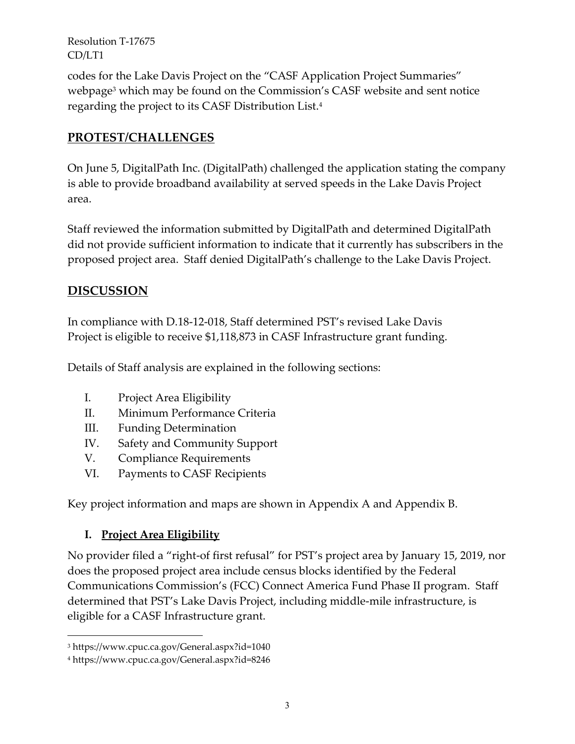codes for the Lake Davis Project on the "CASF Application Project Summaries" webpage<sup>3</sup> which may be found on the Commission's CASF website and sent notice regarding the project to its CASF Distribution List.<sup>4</sup>

# **PROTEST/CHALLENGES**

On June 5, DigitalPath Inc. (DigitalPath) challenged the application stating the company is able to provide broadband availability at served speeds in the Lake Davis Project area.

Staff reviewed the information submitted by DigitalPath and determined DigitalPath did not provide sufficient information to indicate that it currently has subscribers in the proposed project area. Staff denied DigitalPath's challenge to the Lake Davis Project.

# **DISCUSSION**

In compliance with D.18-12-018, Staff determined PST's revised Lake Davis Project is eligible to receive \$1,118,873 in CASF Infrastructure grant funding.

Details of Staff analysis are explained in the following sections:

- I. Project Area Eligibility
- II. Minimum Performance Criteria
- III. Funding Determination
- IV. Safety and Community Support
- V. Compliance Requirements
- VI. Payments to CASF Recipients

Key project information and maps are shown in Appendix A and Appendix B.

# **I. Project Area Eligibility**

No provider filed a "right-of first refusal" for PST's project area by January 15, 2019, nor does the proposed project area include census blocks identified by the Federal Communications Commission's (FCC) Connect America Fund Phase II program. Staff determined that PST's Lake Davis Project, including middle-mile infrastructure, is eligible for a CASF Infrastructure grant.

 $\overline{a}$ 

<sup>3</sup> https://www.cpuc.ca.gov/General.aspx?id=1040

<sup>4</sup> https://www.cpuc.ca.gov/General.aspx?id=8246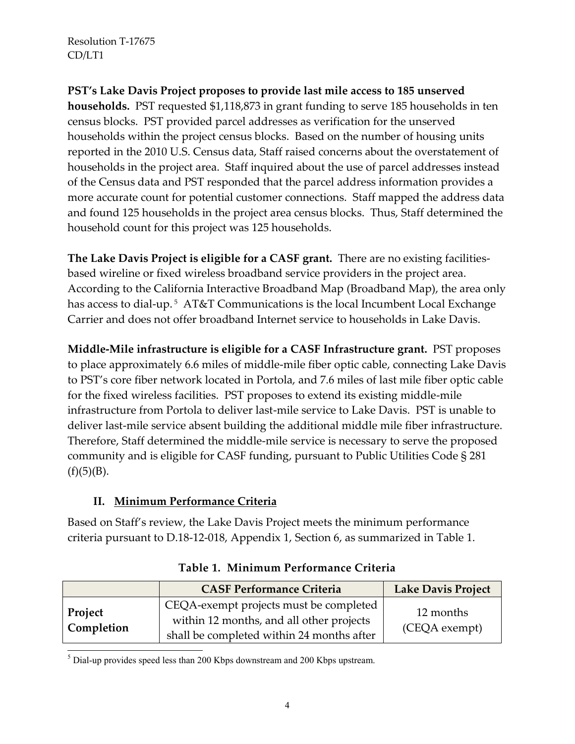**PST's Lake Davis Project proposes to provide last mile access to 185 unserved households.** PST requested \$1,118,873 in grant funding to serve 185 households in ten census blocks. PST provided parcel addresses as verification for the unserved households within the project census blocks. Based on the number of housing units reported in the 2010 U.S. Census data, Staff raised concerns about the overstatement of households in the project area. Staff inquired about the use of parcel addresses instead of the Census data and PST responded that the parcel address information provides a more accurate count for potential customer connections. Staff mapped the address data and found 125 households in the project area census blocks. Thus, Staff determined the household count for this project was 125 households.

**The Lake Davis Project is eligible for a CASF grant.** There are no existing facilitiesbased wireline or fixed wireless broadband service providers in the project area. According to the California Interactive Broadband Map (Broadband Map), the area only has access to dial-up. <sup>5</sup> AT&T Communications is the local Incumbent Local Exchange Carrier and does not offer broadband Internet service to households in Lake Davis.

**Middle-Mile infrastructure is eligible for a CASF Infrastructure grant.** PST proposes to place approximately 6.6 miles of middle-mile fiber optic cable, connecting Lake Davis to PST's core fiber network located in Portola, and 7.6 miles of last mile fiber optic cable for the fixed wireless facilities. PST proposes to extend its existing middle-mile infrastructure from Portola to deliver last-mile service to Lake Davis. PST is unable to deliver last-mile service absent building the additional middle mile fiber infrastructure. Therefore, Staff determined the middle-mile service is necessary to serve the proposed community and is eligible for CASF funding, pursuant to Public Utilities Code § 281  $(f)(5)(B)$ .

### **II. Minimum Performance Criteria**

Based on Staff's review, the Lake Davis Project meets the minimum performance criteria pursuant to D.18-12-018, Appendix 1, Section 6, as summarized in Table 1.

|                              | <b>CASF Performance Criteria</b>                                                                                                | <b>Lake Davis Project</b>  |
|------------------------------|---------------------------------------------------------------------------------------------------------------------------------|----------------------------|
| Project<br><b>Completion</b> | CEQA-exempt projects must be completed<br>within 12 months, and all other projects<br>shall be completed within 24 months after | 12 months<br>(CEQA exempt) |

**Table 1. Minimum Performance Criteria**

 $\overline{a}$  $<sup>5</sup>$  Dial-up provides speed less than 200 Kbps downstream and 200 Kbps upstream.</sup>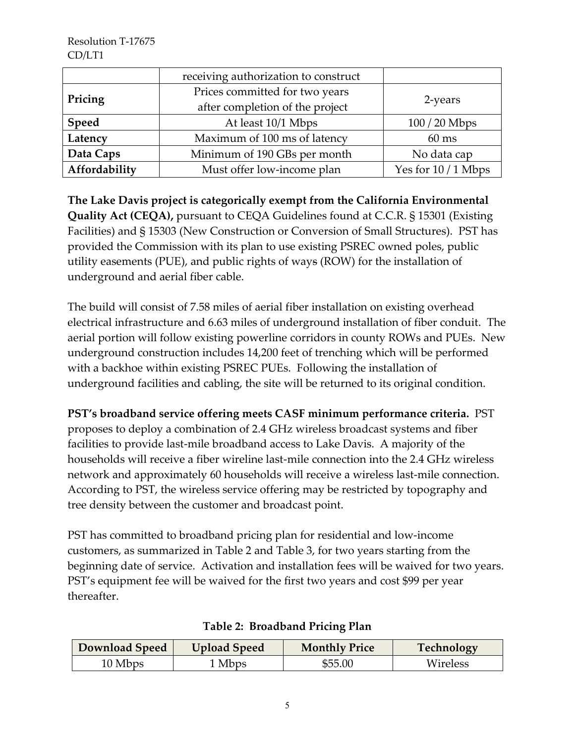|               | receiving authorization to construct |                     |
|---------------|--------------------------------------|---------------------|
| Pricing       | Prices committed for two years       |                     |
|               | after completion of the project      | 2-years             |
| Speed         | At least 10/1 Mbps                   | $100/20$ Mbps       |
| Latency       | Maximum of 100 ms of latency         | $60$ ms             |
| Data Caps     | Minimum of 190 GBs per month         | No data cap         |
| Affordability | Must offer low-income plan           | Yes for $10/1$ Mbps |

**The Lake Davis project is categorically exempt from the California Environmental Quality Act (CEQA),** pursuant to CEQA Guidelines found at C.C.R. § 15301 (Existing Facilities) and § 15303 (New Construction or Conversion of Small Structures). PST has provided the Commission with its plan to use existing PSREC owned poles, public utility easements (PUE), and public rights of ways (ROW) for the installation of underground and aerial fiber cable.

The build will consist of 7.58 miles of aerial fiber installation on existing overhead electrical infrastructure and 6.63 miles of underground installation of fiber conduit. The aerial portion will follow existing powerline corridors in county ROWs and PUEs. New underground construction includes 14,200 feet of trenching which will be performed with a backhoe within existing PSREC PUEs. Following the installation of underground facilities and cabling, the site will be returned to its original condition.

**PST's broadband service offering meets CASF minimum performance criteria.** PST proposes to deploy a combination of 2.4 GHz wireless broadcast systems and fiber facilities to provide last-mile broadband access to Lake Davis. A majority of the households will receive a fiber wireline last-mile connection into the 2.4 GHz wireless network and approximately 60 households will receive a wireless last-mile connection. According to PST, the wireless service offering may be restricted by topography and tree density between the customer and broadcast point.

PST has committed to broadband pricing plan for residential and low-income customers, as summarized in Table 2 and Table 3, for two years starting from the beginning date of service. Activation and installation fees will be waived for two years. PST's equipment fee will be waived for the first two years and cost \$99 per year thereafter.

| Download Speed | <b>Upload Speed</b> | <b>Monthly Price</b> | Technology |
|----------------|---------------------|----------------------|------------|
| 10 Mbps        | <sup>1</sup> Mbps   | \$55.00              | Wireless   |

#### **Table 2: Broadband Pricing Plan**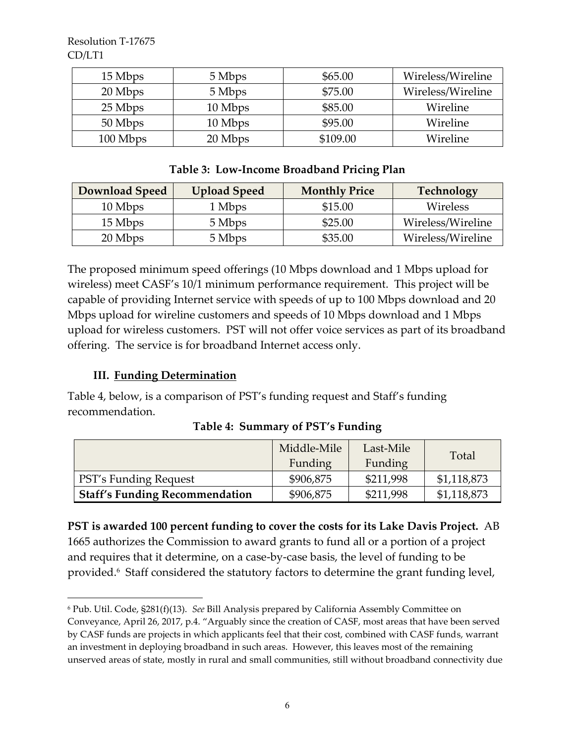| 15 Mbps  | 5 Mbps  | \$65.00  | Wireless/Wireline |
|----------|---------|----------|-------------------|
| 20 Mbps  | 5 Mbps  | \$75.00  | Wireless/Wireline |
| 25 Mbps  | 10 Mbps | \$85.00  | Wireline          |
| 50 Mbps  | 10 Mbps | \$95.00  | Wireline          |
| 100 Mbps | 20 Mbps | \$109.00 | Wireline          |

#### **Table 3: Low-Income Broadband Pricing Plan**

| <b>Download Speed</b> | <b>Upload Speed</b> | <b>Monthly Price</b> | Technology        |
|-----------------------|---------------------|----------------------|-------------------|
| 10 Mbps               | 1 Mbps              | \$15.00              | Wireless          |
| 15 Mbps               | 5 Mbps              | \$25.00              | Wireless/Wireline |
| 20 Mbps               | 5 Mbps              | \$35.00              | Wireless/Wireline |

The proposed minimum speed offerings (10 Mbps download and 1 Mbps upload for wireless) meet CASF's 10/1 minimum performance requirement. This project will be capable of providing Internet service with speeds of up to 100 Mbps download and 20 Mbps upload for wireline customers and speeds of 10 Mbps download and 1 Mbps upload for wireless customers. PST will not offer voice services as part of its broadband offering. The service is for broadband Internet access only.

#### **III. Funding Determination**

 $\overline{a}$ 

Table 4, below, is a comparison of PST's funding request and Staff's funding recommendation.

|                                       | Middle-Mile | Last-Mile | Total       |
|---------------------------------------|-------------|-----------|-------------|
|                                       | Funding     | Funding   |             |
| <b>PST's Funding Request</b>          | \$906,875   | \$211,998 | \$1,118,873 |
| <b>Staff's Funding Recommendation</b> | \$906,875   | \$211,998 | \$1,118,873 |

**Table 4: Summary of PST's Funding**

**PST is awarded 100 percent funding to cover the costs for its Lake Davis Project.** AB 1665 authorizes the Commission to award grants to fund all or a portion of a project and requires that it determine, on a case-by-case basis, the level of funding to be provided.<sup>6</sup> Staff considered the statutory factors to determine the grant funding level,

<sup>6</sup> Pub. Util. Code, §281(f)(13). *See* Bill Analysis prepared by California Assembly Committee on Conveyance, April 26, 2017, p.4. "Arguably since the creation of CASF, most areas that have been served by CASF funds are projects in which applicants feel that their cost, combined with CASF funds, warrant an investment in deploying broadband in such areas. However, this leaves most of the remaining unserved areas of state, mostly in rural and small communities, still without broadband connectivity due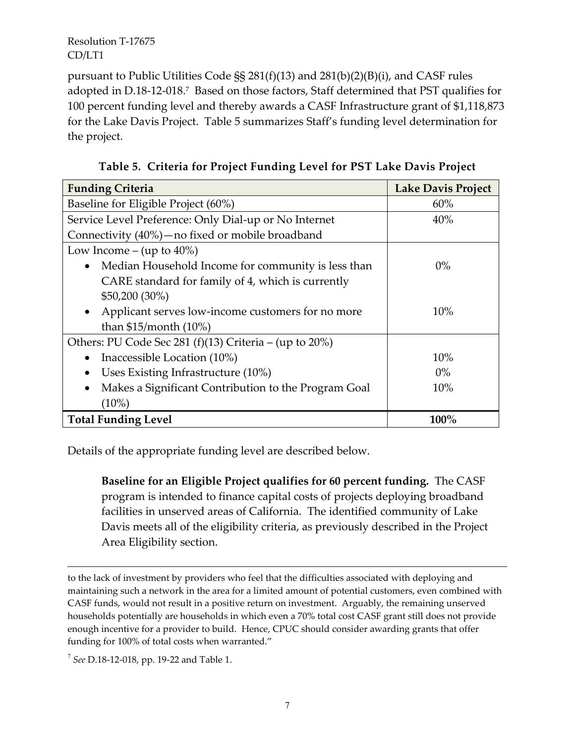pursuant to Public Utilities Code §§ 281(f)(13) and 281(b)(2)(B)(i), and CASF rules adopted in D.18-12-018.<sup>7</sup> Based on those factors, Staff determined that PST qualifies for 100 percent funding level and thereby awards a CASF Infrastructure grant of \$1,118,873 for the Lake Davis Project. Table 5 summarizes Staff's funding level determination for the project.

| <b>Funding Criteria</b>                                           | <b>Lake Davis Project</b> |
|-------------------------------------------------------------------|---------------------------|
| Baseline for Eligible Project (60%)                               | 60%                       |
| Service Level Preference: Only Dial-up or No Internet             | 40%                       |
| Connectivity (40%) — no fixed or mobile broadband                 |                           |
| Low Income – (up to $40\%$ )                                      |                           |
| Median Household Income for community is less than                | $0\%$                     |
| CARE standard for family of 4, which is currently                 |                           |
| $$50,200 (30\%)$                                                  |                           |
| Applicant serves low-income customers for no more<br>$\bullet$    | 10%                       |
| than $$15/m$ onth (10%)                                           |                           |
| Others: PU Code Sec 281 (f)(13) Criteria – (up to 20%)            |                           |
| Inaccessible Location (10%)<br>$\bullet$                          | 10%                       |
| Uses Existing Infrastructure (10%)                                | $0\%$                     |
| Makes a Significant Contribution to the Program Goal<br>$\bullet$ | 10%                       |
| $(10\%)$                                                          |                           |
| <b>Total Funding Level</b>                                        | $100\%$                   |

**Table 5. Criteria for Project Funding Level for PST Lake Davis Project**

Details of the appropriate funding level are described below.

**Baseline for an Eligible Project qualifies for 60 percent funding.** The CASF program is intended to finance capital costs of projects deploying broadband facilities in unserved areas of California. The identified community of Lake Davis meets all of the eligibility criteria, as previously described in the Project Area Eligibility section.

to the lack of investment by providers who feel that the difficulties associated with deploying and maintaining such a network in the area for a limited amount of potential customers, even combined with CASF funds, would not result in a positive return on investment. Arguably, the remaining unserved households potentially are households in which even a 70% total cost CASF grant still does not provide enough incentive for a provider to build. Hence, CPUC should consider awarding grants that offer funding for 100% of total costs when warranted."

7 *See* D.18-12-018, pp. 19-22 and Table 1.

 $\overline{a}$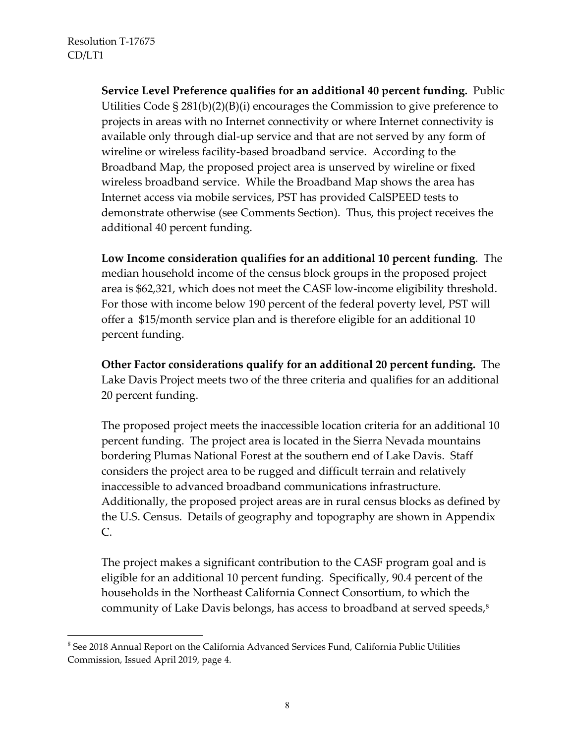$\overline{a}$ 

**Service Level Preference qualifies for an additional 40 percent funding.** Public Utilities Code § 281(b)(2)(B)(i) encourages the Commission to give preference to projects in areas with no Internet connectivity or where Internet connectivity is available only through dial-up service and that are not served by any form of wireline or wireless facility-based broadband service. According to the Broadband Map, the proposed project area is unserved by wireline or fixed wireless broadband service. While the Broadband Map shows the area has Internet access via mobile services, PST has provided CalSPEED tests to demonstrate otherwise (see Comments Section). Thus, this project receives the additional 40 percent funding.

**Low Income consideration qualifies for an additional 10 percent funding**. The median household income of the census block groups in the proposed project area is \$62,321, which does not meet the CASF low-income eligibility threshold. For those with income below 190 percent of the federal poverty level, PST will offer a \$15/month service plan and is therefore eligible for an additional 10 percent funding.

**Other Factor considerations qualify for an additional 20 percent funding.** The Lake Davis Project meets two of the three criteria and qualifies for an additional 20 percent funding.

The proposed project meets the inaccessible location criteria for an additional 10 percent funding. The project area is located in the Sierra Nevada mountains bordering Plumas National Forest at the southern end of Lake Davis. Staff considers the project area to be rugged and difficult terrain and relatively inaccessible to advanced broadband communications infrastructure. Additionally, the proposed project areas are in rural census blocks as defined by the U.S. Census. Details of geography and topography are shown in Appendix C.

The project makes a significant contribution to the CASF program goal and is eligible for an additional 10 percent funding. Specifically, 90.4 percent of the households in the Northeast California Connect Consortium, to which the community of Lake Davis belongs, has access to broadband at served speeds, 8

 $8$  See 2018 Annual Report on the California Advanced Services Fund, California Public Utilities Commission, Issued April 2019, page 4.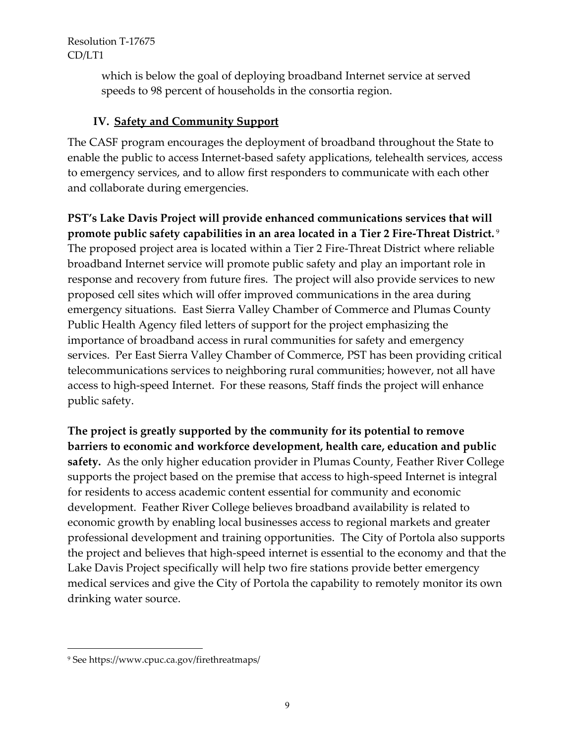> which is below the goal of deploying broadband Internet service at served speeds to 98 percent of households in the consortia region.

### **IV. Safety and Community Support**

The CASF program encourages the deployment of broadband throughout the State to enable the public to access Internet-based safety applications, telehealth services, access to emergency services, and to allow first responders to communicate with each other and collaborate during emergencies.

**PST's Lake Davis Project will provide enhanced communications services that will promote public safety capabilities in an area located in a Tier 2 Fire-Threat District.** <sup>9</sup> The proposed project area is located within a Tier 2 Fire-Threat District where reliable broadband Internet service will promote public safety and play an important role in response and recovery from future fires. The project will also provide services to new proposed cell sites which will offer improved communications in the area during emergency situations. East Sierra Valley Chamber of Commerce and Plumas County Public Health Agency filed letters of support for the project emphasizing the importance of broadband access in rural communities for safety and emergency services. Per East Sierra Valley Chamber of Commerce, PST has been providing critical telecommunications services to neighboring rural communities; however, not all have access to high-speed Internet. For these reasons, Staff finds the project will enhance public safety.

**The project is greatly supported by the community for its potential to remove barriers to economic and workforce development, health care, education and public safety.** As the only higher education provider in Plumas County, Feather River College supports the project based on the premise that access to high-speed Internet is integral for residents to access academic content essential for community and economic development. Feather River College believes broadband availability is related to economic growth by enabling local businesses access to regional markets and greater professional development and training opportunities. The City of Portola also supports the project and believes that high-speed internet is essential to the economy and that the Lake Davis Project specifically will help two fire stations provide better emergency medical services and give the City of Portola the capability to remotely monitor its own drinking water source.

 $\overline{a}$ 

<sup>9</sup> See https://www.cpuc.ca.gov/firethreatmaps/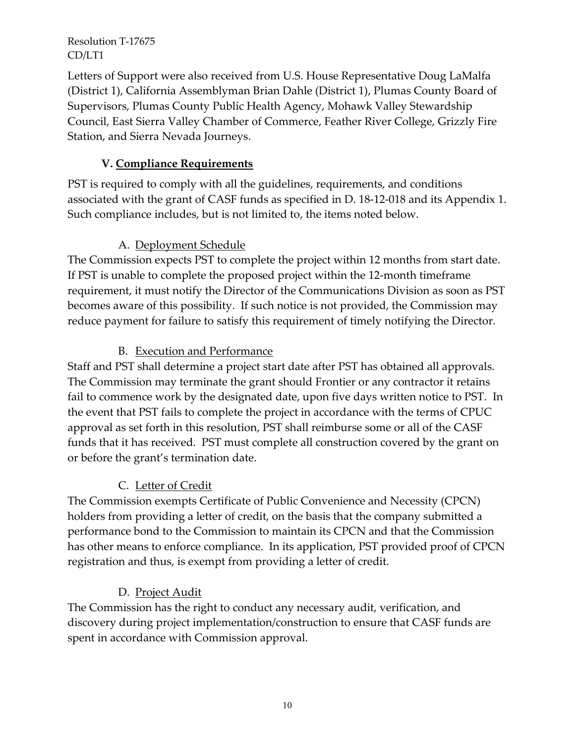Letters of Support were also received from U.S. House Representative Doug LaMalfa (District 1), California Assemblyman Brian Dahle (District 1), Plumas County Board of Supervisors, Plumas County Public Health Agency, Mohawk Valley Stewardship Council, East Sierra Valley Chamber of Commerce, Feather River College, Grizzly Fire Station, and Sierra Nevada Journeys.

### **V. Compliance Requirements**

PST is required to comply with all the guidelines, requirements, and conditions associated with the grant of CASF funds as specified in D. 18-12-018 and its Appendix 1. Such compliance includes, but is not limited to, the items noted below.

#### A. Deployment Schedule

The Commission expects PST to complete the project within 12 months from start date. If PST is unable to complete the proposed project within the 12-month timeframe requirement, it must notify the Director of the Communications Division as soon as PST becomes aware of this possibility. If such notice is not provided, the Commission may reduce payment for failure to satisfy this requirement of timely notifying the Director.

### B. Execution and Performance

Staff and PST shall determine a project start date after PST has obtained all approvals. The Commission may terminate the grant should Frontier or any contractor it retains fail to commence work by the designated date, upon five days written notice to PST. In the event that PST fails to complete the project in accordance with the terms of CPUC approval as set forth in this resolution, PST shall reimburse some or all of the CASF funds that it has received. PST must complete all construction covered by the grant on or before the grant's termination date.

### C. Letter of Credit

The Commission exempts Certificate of Public Convenience and Necessity (CPCN) holders from providing a letter of credit, on the basis that the company submitted a performance bond to the Commission to maintain its CPCN and that the Commission has other means to enforce compliance. In its application, PST provided proof of CPCN registration and thus, is exempt from providing a letter of credit.

### D. Project Audit

The Commission has the right to conduct any necessary audit, verification, and discovery during project implementation/construction to ensure that CASF funds are spent in accordance with Commission approval.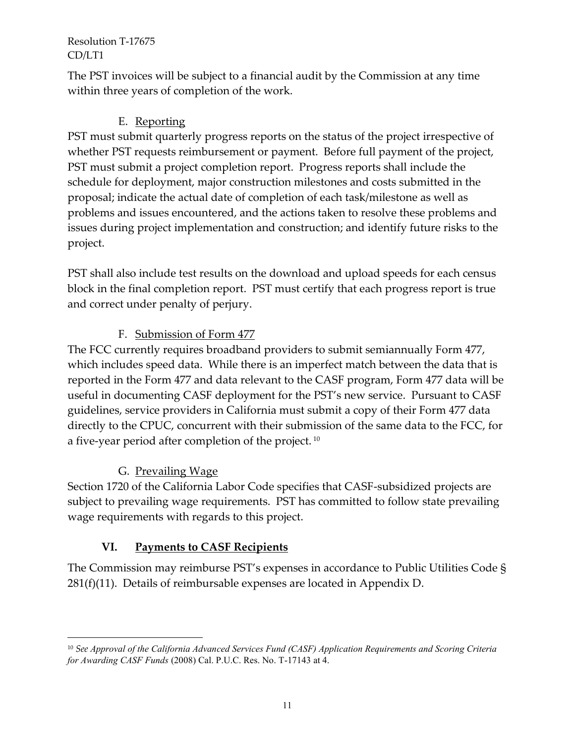The PST invoices will be subject to a financial audit by the Commission at any time within three years of completion of the work.

# E. Reporting

PST must submit quarterly progress reports on the status of the project irrespective of whether PST requests reimbursement or payment. Before full payment of the project, PST must submit a project completion report. Progress reports shall include the schedule for deployment, major construction milestones and costs submitted in the proposal; indicate the actual date of completion of each task/milestone as well as problems and issues encountered, and the actions taken to resolve these problems and issues during project implementation and construction; and identify future risks to the project.

PST shall also include test results on the download and upload speeds for each census block in the final completion report. PST must certify that each progress report is true and correct under penalty of perjury.

# F. Submission of Form 477

The FCC currently requires broadband providers to submit semiannually Form 477, which includes speed data. While there is an imperfect match between the data that is reported in the Form 477 and data relevant to the CASF program, Form 477 data will be useful in documenting CASF deployment for the PST's new service. Pursuant to CASF guidelines, service providers in California must submit a copy of their Form 477 data directly to the CPUC, concurrent with their submission of the same data to the FCC, for a five-year period after completion of the project.<sup>10</sup>

# G. Prevailing Wage

 $\overline{a}$ 

Section 1720 of the California Labor Code specifies that CASF-subsidized projects are subject to prevailing wage requirements. PST has committed to follow state prevailing wage requirements with regards to this project.

# **VI. Payments to CASF Recipients**

The Commission may reimburse PST's expenses in accordance to Public Utilities Code § 281(f)(11). Details of reimbursable expenses are located in Appendix D.

<sup>10</sup> *See Approval of the California Advanced Services Fund (CASF) Application Requirements and Scoring Criteria for Awarding CASF Funds* (2008) Cal. P.U.C. Res. No. T-17143 at 4.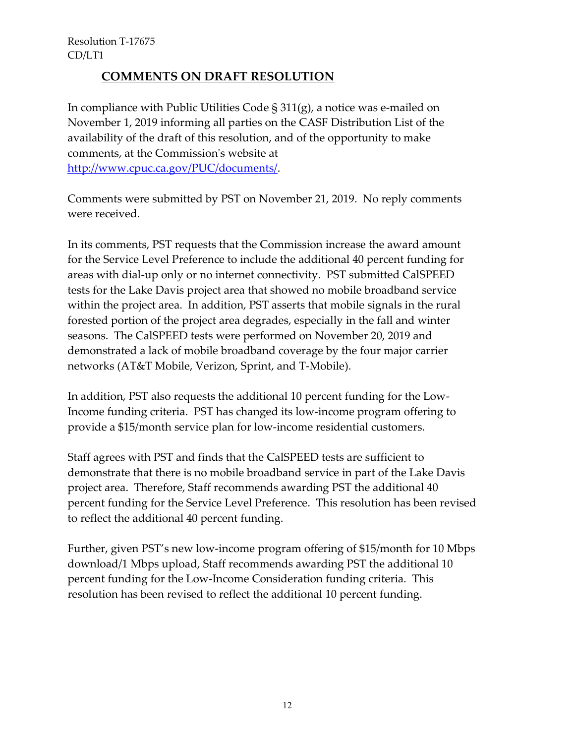### **COMMENTS ON DRAFT RESOLUTION**

In compliance with Public Utilities Code § 311(g), a notice was e-mailed on November 1, 2019 informing all parties on the CASF Distribution List of the availability of the draft of this resolution, and of the opportunity to make comments, at the Commission's website at [http://www.cpuc.ca.gov/PUC/documents/.](http://www.cpuc.ca.gov/PUC/documents/)

Comments were submitted by PST on November 21, 2019. No reply comments were received.

In its comments, PST requests that the Commission increase the award amount for the Service Level Preference to include the additional 40 percent funding for areas with dial-up only or no internet connectivity. PST submitted CalSPEED tests for the Lake Davis project area that showed no mobile broadband service within the project area. In addition, PST asserts that mobile signals in the rural forested portion of the project area degrades, especially in the fall and winter seasons. The CalSPEED tests were performed on November 20, 2019 and demonstrated a lack of mobile broadband coverage by the four major carrier networks (AT&T Mobile, Verizon, Sprint, and T-Mobile).

In addition, PST also requests the additional 10 percent funding for the Low-Income funding criteria. PST has changed its low-income program offering to provide a \$15/month service plan for low-income residential customers.

Staff agrees with PST and finds that the CalSPEED tests are sufficient to demonstrate that there is no mobile broadband service in part of the Lake Davis project area. Therefore, Staff recommends awarding PST the additional 40 percent funding for the Service Level Preference. This resolution has been revised to reflect the additional 40 percent funding.

Further, given PST's new low-income program offering of \$15/month for 10 Mbps download/1 Mbps upload, Staff recommends awarding PST the additional 10 percent funding for the Low-Income Consideration funding criteria. This resolution has been revised to reflect the additional 10 percent funding.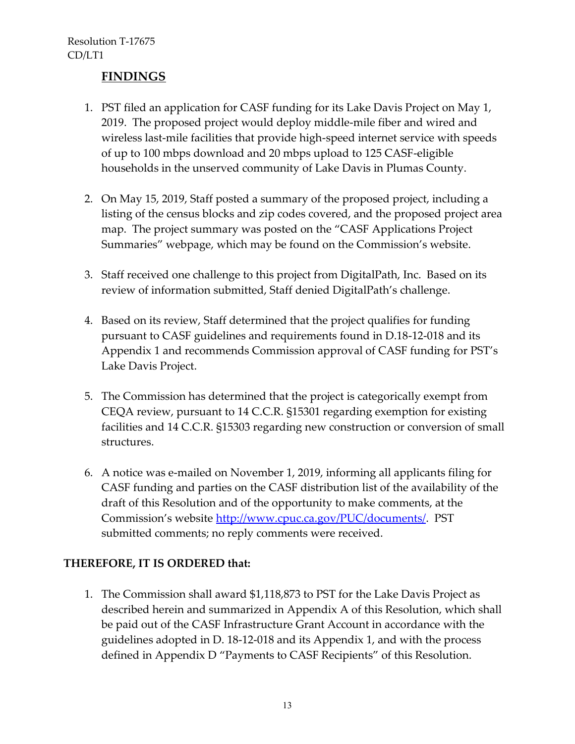### **FINDINGS**

- 1. PST filed an application for CASF funding for its Lake Davis Project on May 1, 2019. The proposed project would deploy middle-mile fiber and wired and wireless last-mile facilities that provide high-speed internet service with speeds of up to 100 mbps download and 20 mbps upload to 125 CASF-eligible households in the unserved community of Lake Davis in Plumas County.
- 2. On May 15, 2019, Staff posted a summary of the proposed project, including a listing of the census blocks and zip codes covered, and the proposed project area map. The project summary was posted on the "CASF Applications Project Summaries" webpage, which may be found on the Commission's website.
- 3. Staff received one challenge to this project from DigitalPath, Inc. Based on its review of information submitted, Staff denied DigitalPath's challenge.
- 4. Based on its review, Staff determined that the project qualifies for funding pursuant to CASF guidelines and requirements found in D.18-12-018 and its Appendix 1 and recommends Commission approval of CASF funding for PST's Lake Davis Project.
- 5. The Commission has determined that the project is categorically exempt from CEQA review, pursuant to 14 C.C.R. §15301 regarding exemption for existing facilities and 14 C.C.R. §15303 regarding new construction or conversion of small structures.
- 6. A notice was e-mailed on November 1, 2019, informing all applicants filing for CASF funding and parties on the CASF distribution list of the availability of the draft of this Resolution and of the opportunity to make comments, at the Commission's website [http://www.cpuc.ca.gov/PUC/documents/.](http://www.cpuc.ca.gov/PUC/documents/) PST submitted comments; no reply comments were received.

### **THEREFORE, IT IS ORDERED that:**

1. The Commission shall award \$1,118,873 to PST for the Lake Davis Project as described herein and summarized in Appendix A of this Resolution, which shall be paid out of the CASF Infrastructure Grant Account in accordance with the guidelines adopted in D. 18-12-018 and its Appendix 1, and with the process defined in Appendix D "Payments to CASF Recipients" of this Resolution.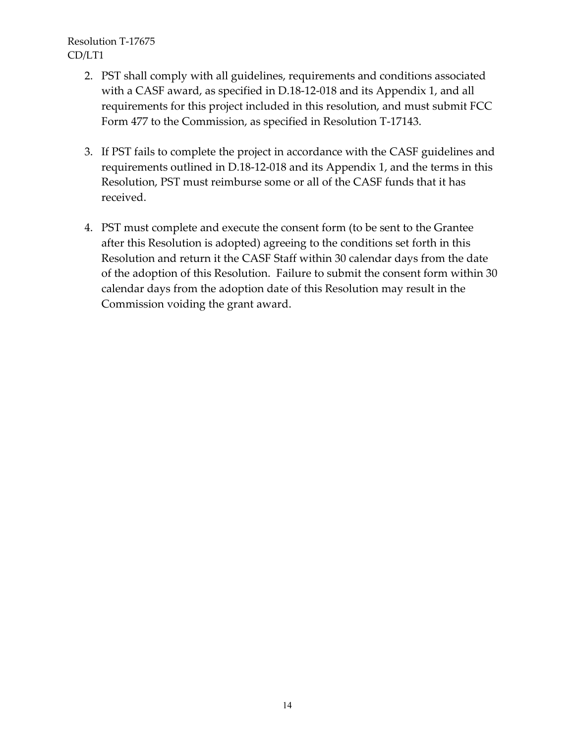- 2. PST shall comply with all guidelines, requirements and conditions associated with a CASF award, as specified in D.18-12-018 and its Appendix 1, and all requirements for this project included in this resolution, and must submit FCC Form 477 to the Commission, as specified in Resolution T-17143.
- 3. If PST fails to complete the project in accordance with the CASF guidelines and requirements outlined in D.18-12-018 and its Appendix 1, and the terms in this Resolution, PST must reimburse some or all of the CASF funds that it has received.
- 4. PST must complete and execute the consent form (to be sent to the Grantee after this Resolution is adopted) agreeing to the conditions set forth in this Resolution and return it the CASF Staff within 30 calendar days from the date of the adoption of this Resolution. Failure to submit the consent form within 30 calendar days from the adoption date of this Resolution may result in the Commission voiding the grant award.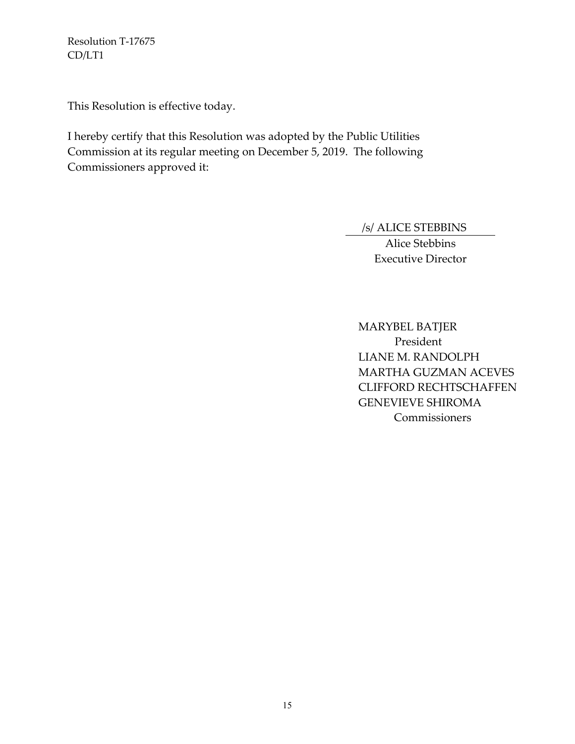This Resolution is effective today.

I hereby certify that this Resolution was adopted by the Public Utilities Commission at its regular meeting on December 5, 2019. The following Commissioners approved it:

/s/ ALICE STEBBINS

Alice Stebbins Executive Director

MARYBEL BATJER President LIANE M. RANDOLPH MARTHA GUZMAN ACEVES CLIFFORD RECHTSCHAFFEN GENEVIEVE SHIROMA **Commissioners**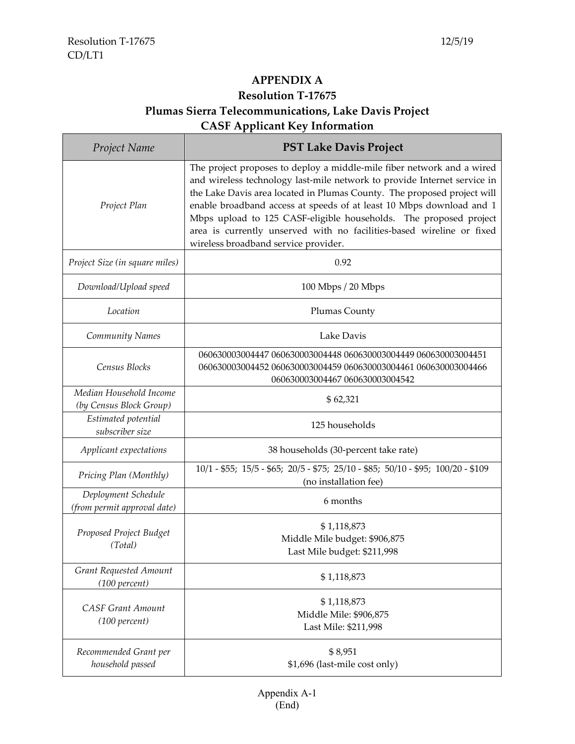# **APPENDIX A Resolution T-17675 Plumas Sierra Telecommunications, Lake Davis Project CASF Applicant Key Information**

| Project Name                                       | <b>PST Lake Davis Project</b>                                                                                                                                                                                                                                                                                                                                                                                                                                                               |
|----------------------------------------------------|---------------------------------------------------------------------------------------------------------------------------------------------------------------------------------------------------------------------------------------------------------------------------------------------------------------------------------------------------------------------------------------------------------------------------------------------------------------------------------------------|
| Project Plan                                       | The project proposes to deploy a middle-mile fiber network and a wired<br>and wireless technology last-mile network to provide Internet service in<br>the Lake Davis area located in Plumas County. The proposed project will<br>enable broadband access at speeds of at least 10 Mbps download and 1<br>Mbps upload to 125 CASF-eligible households. The proposed project<br>area is currently unserved with no facilities-based wireline or fixed<br>wireless broadband service provider. |
| Project Size (in square miles)                     | 0.92                                                                                                                                                                                                                                                                                                                                                                                                                                                                                        |
| Download/Upload speed                              | 100 Mbps / 20 Mbps                                                                                                                                                                                                                                                                                                                                                                                                                                                                          |
| Location                                           | Plumas County                                                                                                                                                                                                                                                                                                                                                                                                                                                                               |
| Community Names                                    | Lake Davis                                                                                                                                                                                                                                                                                                                                                                                                                                                                                  |
| Census Blocks                                      | 060630003004447 060630003004448 060630003004449 060630003004451<br>060630003004452 060630003004459 060630003004461 060630003004466<br>060630003004467 060630003004542                                                                                                                                                                                                                                                                                                                       |
| Median Household Income<br>(by Census Block Group) | \$62,321                                                                                                                                                                                                                                                                                                                                                                                                                                                                                    |
| Estimated potential<br>subscriber size             | 125 households                                                                                                                                                                                                                                                                                                                                                                                                                                                                              |
| Applicant expectations                             | 38 households (30-percent take rate)                                                                                                                                                                                                                                                                                                                                                                                                                                                        |
| Pricing Plan (Monthly)                             | 10/1 - \$55; 15/5 - \$65; 20/5 - \$75; 25/10 - \$85; 50/10 - \$95; 100/20 - \$109<br>(no installation fee)                                                                                                                                                                                                                                                                                                                                                                                  |
| Deployment Schedule<br>(from permit approval date) | 6 months                                                                                                                                                                                                                                                                                                                                                                                                                                                                                    |
| Proposed Project Budget<br>(Total)                 | \$1,118,873<br>Middle Mile budget: \$906,875<br>Last Mile budget: \$211,998                                                                                                                                                                                                                                                                                                                                                                                                                 |
| Grant Requested Amount<br>(100 percent)            | \$1,118,873                                                                                                                                                                                                                                                                                                                                                                                                                                                                                 |
| <b>CASF Grant Amount</b><br>(100 percent)          | \$1,118,873<br>Middle Mile: \$906,875<br>Last Mile: \$211,998                                                                                                                                                                                                                                                                                                                                                                                                                               |
| Recommended Grant per<br>household passed          | \$8,951<br>\$1,696 (last-mile cost only)                                                                                                                                                                                                                                                                                                                                                                                                                                                    |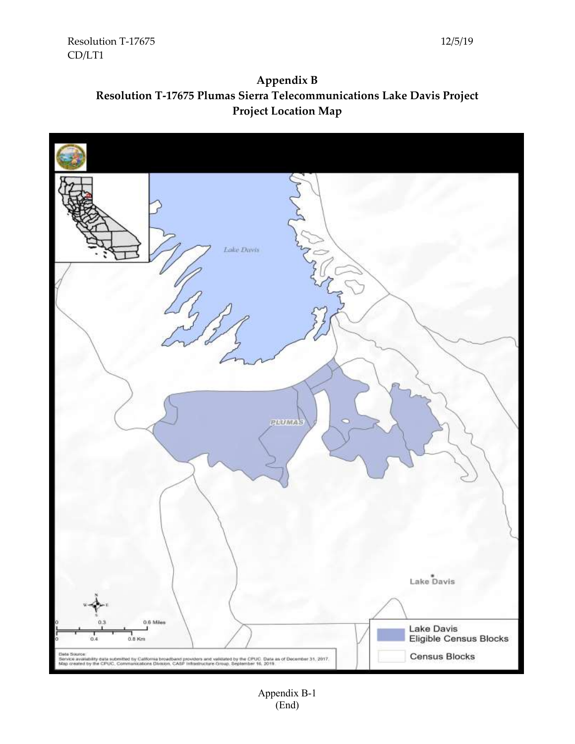

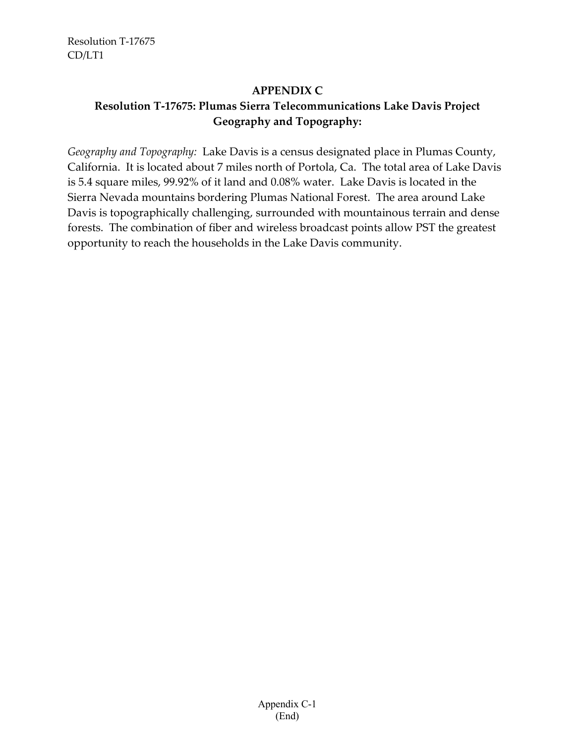#### **APPENDIX C**

## **Resolution T-17675: Plumas Sierra Telecommunications Lake Davis Project Geography and Topography:**

*Geography and Topography:* Lake Davis is a census designated place in Plumas County, California. It is located about 7 miles north of Portola, Ca. The total area of Lake Davis is 5.4 square miles, 99.92% of it land and 0.08% water. Lake Davis is located in the Sierra Nevada mountains bordering Plumas National Forest. The area around Lake Davis is topographically challenging, surrounded with mountainous terrain and dense forests. The combination of fiber and wireless broadcast points allow PST the greatest opportunity to reach the households in the Lake Davis community.